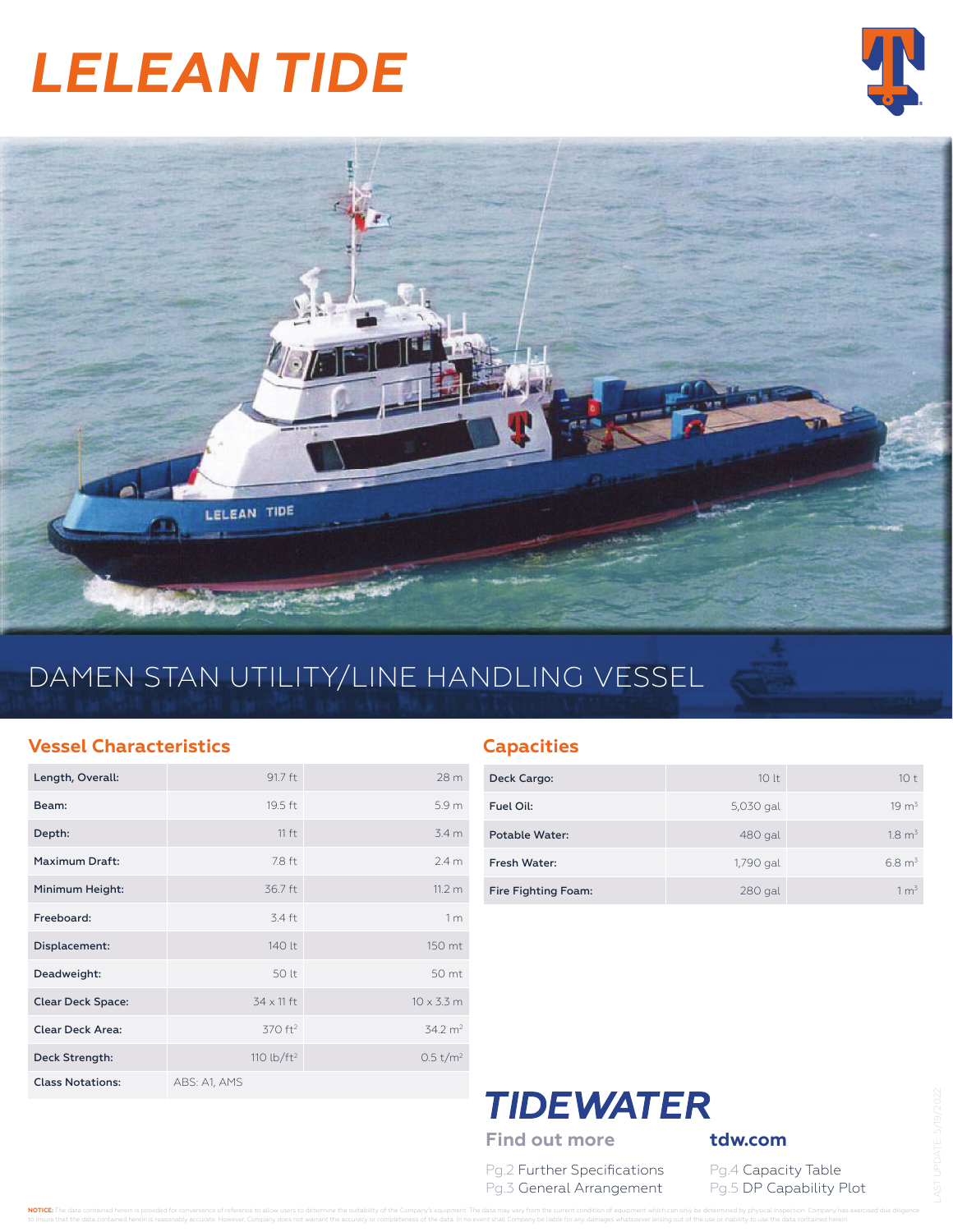# *LELEAN TIDE*





# DAMEN STAN UTILITY/LINE HANDLING VESSEL

#### **Vessel Characteristics**

| Length, Overall:         | 91.7 ft             | 28 <sub>m</sub>      |
|--------------------------|---------------------|----------------------|
| Beam:                    | 19.5 ft             | 5.9 <sub>m</sub>     |
| Depth:                   | $11 f+$             | 3.4 <sub>m</sub>     |
| Maximum Draft:           | 7.8 ft              | 2.4 <sub>m</sub>     |
| Minimum Height:          | 36.7 ft             | 11.2 m               |
| Freeboard:               | 3.4 ft              | 1 <sub>m</sub>       |
| Displacement:            | 140 lt              | 150 mt               |
| Deadweight:              | 50 lt               | 50 mt                |
| <b>Clear Deck Space:</b> | $34 \times 11$ ft   | $10 \times 3.3$ m    |
| <b>Clear Deck Area:</b>  | 370 ft <sup>2</sup> | $34.2 \text{ m}^2$   |
| Deck Strength:           | 110 lb/ $ft2$       | 0.5 t/m <sup>2</sup> |
| <b>Class Notations:</b>  | ABS: A1, AMS        |                      |

#### **Capacities**

| Deck Cargo:         | 10 <sup>1</sup> | 10 <sup>†</sup>   |
|---------------------|-----------------|-------------------|
| Fuel Oil:           | 5,030 gal       | $19 \text{ m}^3$  |
| Potable Water:      | 480 gal         | $18 m^3$          |
| Fresh Water:        | 1,790 gal       | $6.8 \text{ m}^3$ |
| Fire Fighting Foam: | 280 gal         | 1 m <sup>3</sup>  |

### **TIDEWATER** Find out more **tdw.com**

Pg.2 Further Specifications Pg.4 Capacity Table

Pg.3 General Arrangement Pg.5 DP Capability Plot

NOTICE: The data contained herein is provided for convenience of reference to allow users to determine the suitability of the Company's equipment. The data may vary from the current condition of equipment which can only be to insure that the data contained herein is reasonably accurate. However, Company does not warrant the accuracy or completeness of the data. In no event shall Company be liable for any damages whatsoever arising out of the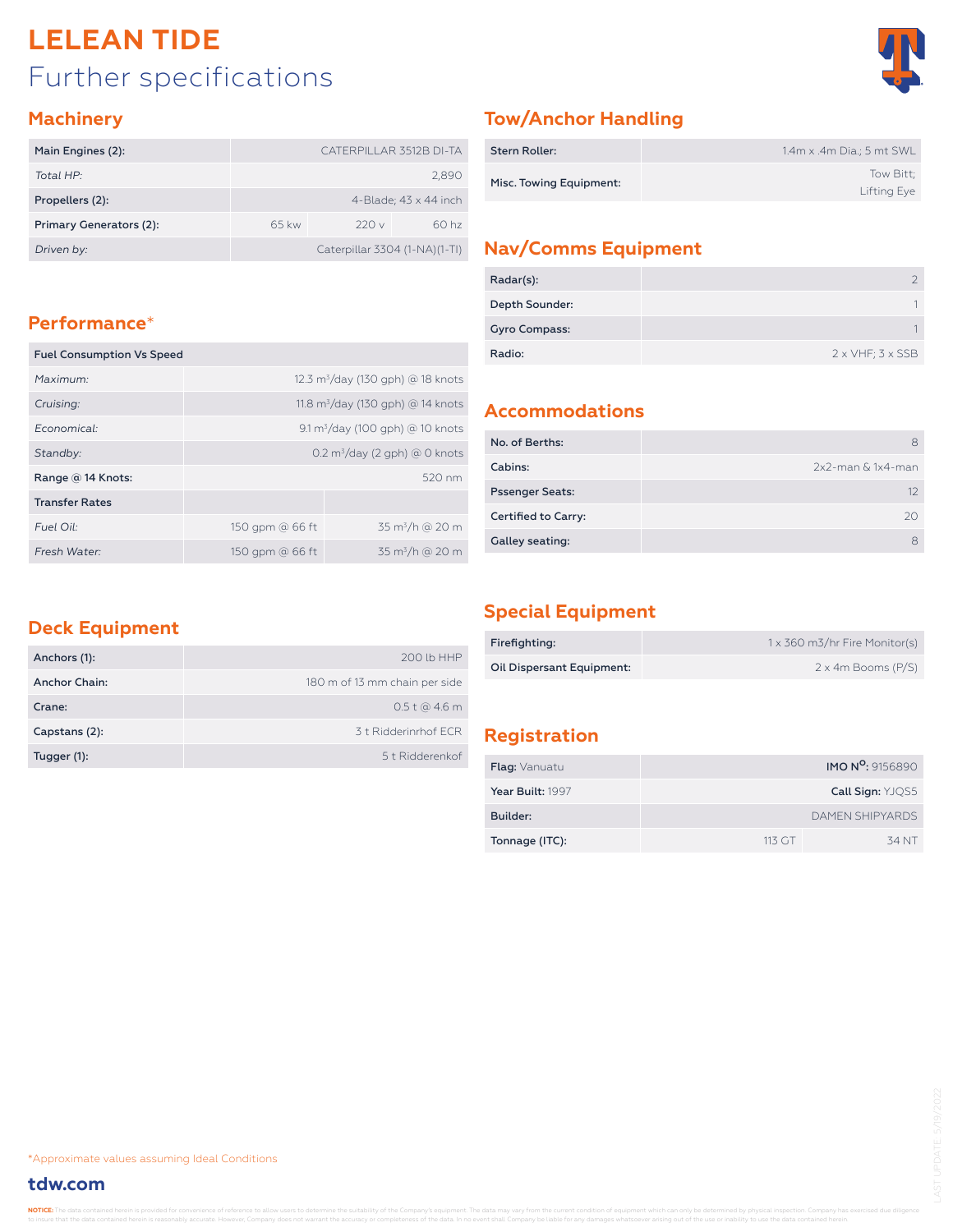## Further specifications **LELEAN TIDE**



#### **Machinery**

| Main Engines (2):       | CATERPILLAR 3512B DI-TA       |  |  |  |  |  |
|-------------------------|-------------------------------|--|--|--|--|--|
| Total HP:               | 2,890                         |  |  |  |  |  |
| Propellers (2):         | 4-Blade; $43 \times 44$ inch  |  |  |  |  |  |
| Primary Generators (2): | 60 hz<br>220v<br>$65$ kw      |  |  |  |  |  |
| Driven by:              | Caterpillar 3304 (1-NA)(1-TI) |  |  |  |  |  |

#### **Performance**\*

| <b>Fuel Consumption Vs Speed</b> |                                               |                           |  |  |  |  |  |
|----------------------------------|-----------------------------------------------|---------------------------|--|--|--|--|--|
| Maximum:                         | 12.3 m <sup>3</sup> /day (130 gph) @ 18 knots |                           |  |  |  |  |  |
| Cruising:                        | 11.8 $\rm m^3$ /day (130 gph) @ 14 knots      |                           |  |  |  |  |  |
| Economical:                      | $9.1 \text{ m}^3$ /day (100 gph) @ 10 knots   |                           |  |  |  |  |  |
| Standby:                         | $0.2 \text{ m}^3$ /day (2 gph) @ 0 knots      |                           |  |  |  |  |  |
| Range @ 14 Knots:                | $520 \text{ nm}$                              |                           |  |  |  |  |  |
| <b>Transfer Rates</b>            |                                               |                           |  |  |  |  |  |
| Fuel Oil:                        | $35 \text{ m}^3/h$ @ 20 m<br>150 gpm @ 66 ft  |                           |  |  |  |  |  |
| Fresh Water:                     | 150 gpm @ 66 ft                               | $35 \text{ m}^3/h$ @ 20 m |  |  |  |  |  |

#### **Tow/Anchor Handling**

| <b>Stern Roller:</b>    | 1.4m x .4m Dia.; 5 mt SWL |
|-------------------------|---------------------------|
| Misc. Towing Equipment: | Tow Bitt:<br>Lifting Eye  |

#### **Nav/Comms Equipment**

| Radar(s):            |                                 |
|----------------------|---------------------------------|
| Depth Sounder:       |                                 |
| <b>Gyro Compass:</b> |                                 |
| Radio:               | $2 \times VHF$ ; $3 \times SSB$ |

#### **Accommodations**

| No. of Berths:         |                      |
|------------------------|----------------------|
| Cabins:                | $2x2$ -man & 1x4-man |
| <b>Pssenger Seats:</b> |                      |
| Certified to Carry:    | 20                   |
| Galley seating:        |                      |

#### **Deck Equipment**

| Anchors (1):  | 200 lb HHP                    |
|---------------|-------------------------------|
| Anchor Chain: | 180 m of 13 mm chain per side |
| Crane:        | $0.5t$ @ 4.6 m                |
| Capstans (2): | 3 t Ridderinrhof FCR          |
| Tugger (1):   | 5 t Ridderenkof               |

#### **Special Equipment**

| Firefighting:             | 1 x 360 m3/hr Fire Monitor(s) |
|---------------------------|-------------------------------|
| Oil Dispersant Equipment: | $2 \times 4m$ Booms (P/S)     |

#### **Registration**

| <b>Flag:</b> Vanuatu |        | <b>IMO N<sup>o</sup>:</b> 9156890 |
|----------------------|--------|-----------------------------------|
| Year Built: 1997     |        | Call Sign: YJOS5                  |
| Builder:             |        | DAMEN SHIPYARDS                   |
| Tonnage (ITC):       | 113 GT | 34 NT                             |

\*Approximate values assuming Ideal Conditions

#### **tdw.com**

NOTICE: The data contained herein is provided for convenience of reference to allow users to determine the suitability of the Company's equipment. The data may vary from the current condition of equipment which can only be the data contained herein is reasonably accurate. However, Company does not warrant the accuracy or completeness of the data. In no event shall Company be liable for any damages whatsoever arising out of the use or inabi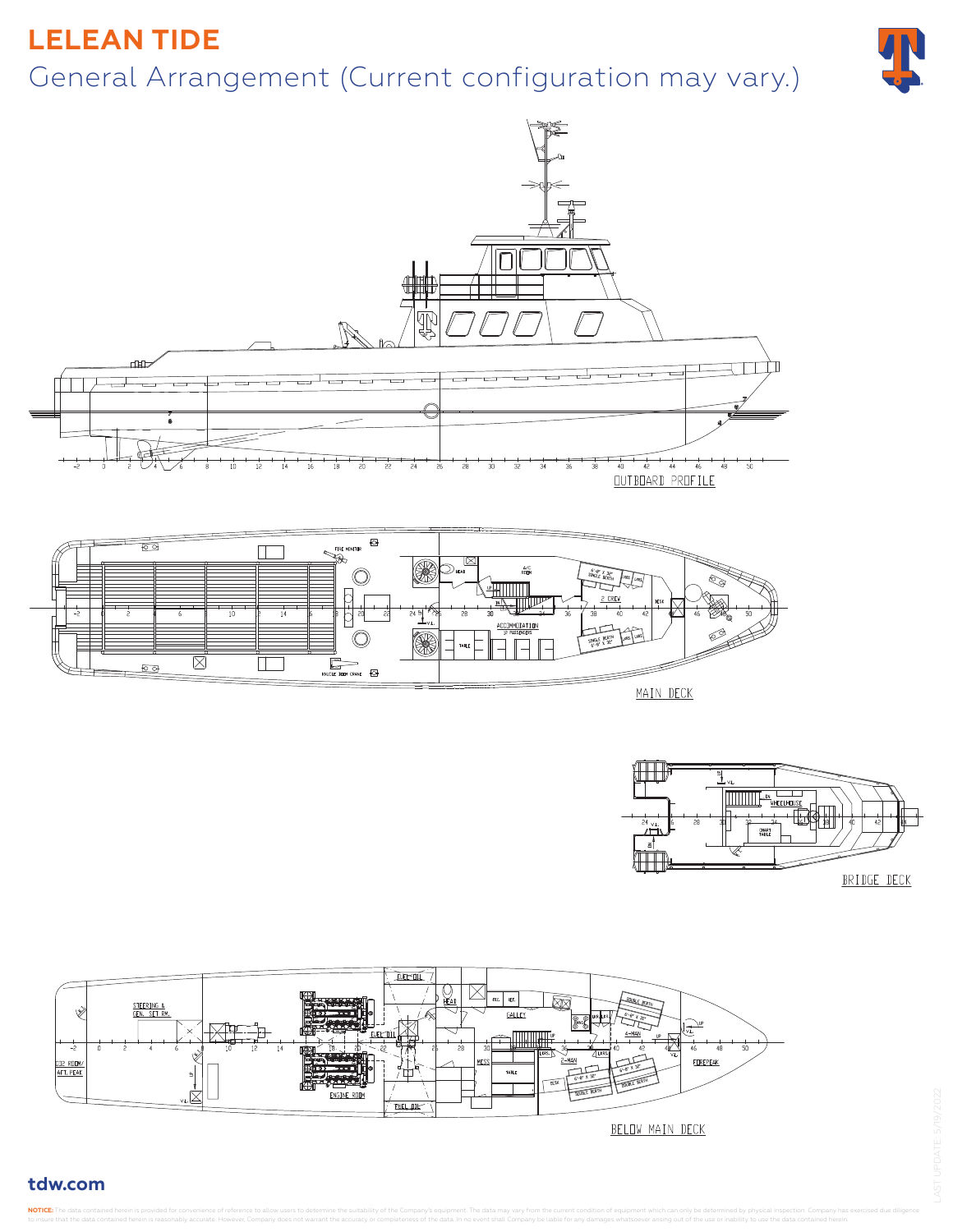### **LELEAN TIDE**

# General Arrangement (Current configuration may vary.)







EUERSUL Øx STEERING .<br>Salle -2  $-48$ FOREPEAK CD2 RODM/<br>AFT. PEAK TABLE **FUEL DIL-**BELOW MAIN DECK

#### **tdw.com**